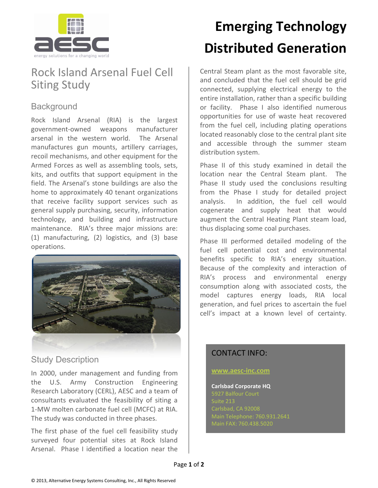

## Rock Island Arsenal Fuel Cell Siting Study

## **Background**

Rock Island Arsenal (RIA) is the largest government-owned weapons manufacturer arsenal in the western world. The Arsenal manufactures gun mounts, artillery carriages, recoil mechanisms, and other equipment for the Armed Forces as well as assembling tools, sets, kits, and outfits that support equipment in the field. The Arsenal's stone buildings are also the home to approximately 40 tenant organizations that receive facility support services such as general supply purchasing, security, information technology, and building and infrastructure maintenance. RIA's three major missions are: (1) manufacturing, (2) logistics, and (3) base operations.



### Study Description

In 2000, under management and funding from the U.S. Army Construction Engineering Research Laboratory (CERL), AESC and a team of consultants evaluated the feasibility of siting a 1-MW molten carbonate fuel cell (MCFC) at RIA. The study was conducted in three phases.

The first phase of the fuel cell feasibility study surveyed four potential sites at Rock Island Arsenal. Phase I identified a location near the

# **Emerging Technology Distributed Generation**

Central Steam plant as the most favorable site, and concluded that the fuel cell should be grid connected, supplying electrical energy to the entire installation, rather than a specific building or facility. Phase I also identified numerous opportunities for use of waste heat recovered from the fuel cell, including plating operations located reasonably close to the central plant site and accessible through the summer steam distribution system.

Phase II of this study examined in detail the location near the Central Steam plant. The Phase II study used the conclusions resulting from the Phase I study for detailed project analysis. In addition, the fuel cell would cogenerate and supply heat that would augment the Central Heating Plant steam load, thus displacing some coal purchases.

Phase III performed detailed modeling of the fuel cell potential cost and environmental benefits specific to RIA's energy situation. Because of the complexity and interaction of RIA's process and environmental energy consumption along with associated costs, the model captures energy loads, RIA local generation, and fuel prices to ascertain the fuel cell's impact at a known level of certainty.

### CONTACT INFO:

#### **[www.aesc-inc.com](http://www.aesc-inc.com/)**

**Carlsbad Corporate HQ**  Suite 213 Carlsbad, CA 92008

Page **1** of **2**